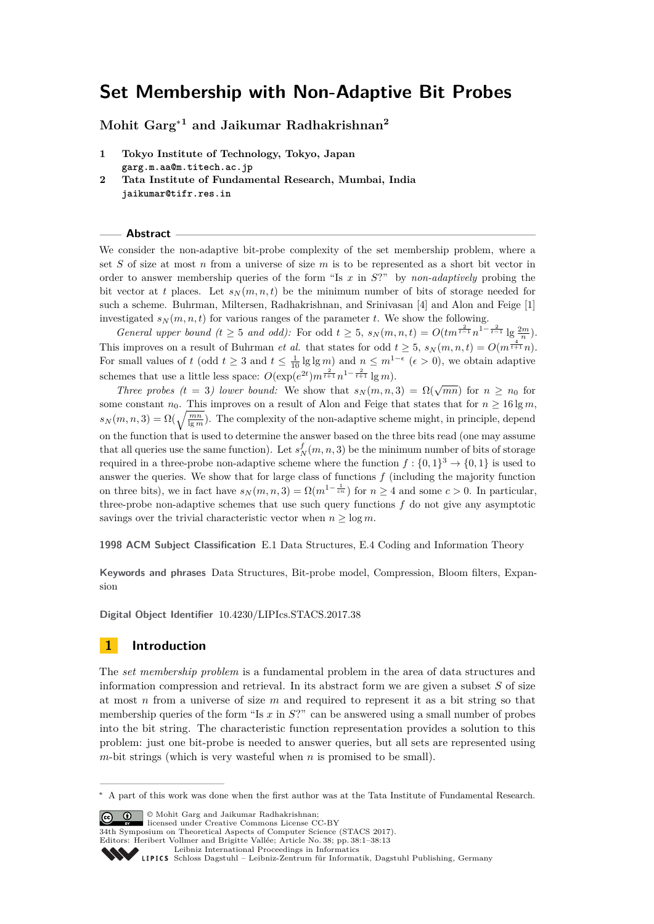# **Set Membership with Non-Adaptive Bit Probes**

**Mohit Garg**<sup>∗</sup>**<sup>1</sup> and Jaikumar Radhakrishnan<sup>2</sup>**

- **1 Tokyo Institute of Technology, Tokyo, Japan garg.m.aa@m.titech.ac.jp**
- **2 Tata Institute of Fundamental Research, Mumbai, India jaikumar@tifr.res.in**

**Abstract**

We consider the non-adaptive bit-probe complexity of the set membership problem, where a set *S* of size at most *n* from a universe of size *m* is to be represented as a short bit vector in order to answer membership queries of the form "Is *x* in *S*?" by *non-adaptively* probing the bit vector at t places. Let  $s_N(m, n, t)$  be the minimum number of bits of storage needed for such a scheme. Buhrman, Miltersen, Radhakrishnan, and Srinivasan [\[4\]](#page-12-0) and Alon and Feige [\[1\]](#page-12-1) investigated  $s_N(m, n, t)$  for various ranges of the parameter *t*. We show the following.

*General upper bound (t*  $\geq 5$  *and odd):* For odd  $t \geq 5$ ,  $s_N(m, n, t) = O(tm^{\frac{2}{t-1}}n^{1-\frac{2}{t-1}}\lg \frac{2m}{n})$ . This improves on a result of Buhrman *et al.* that states for odd  $t \geq 5$ ,  $s_N(m, n, t) = O(m^{\frac{4}{t+1}}n)$ . For small values of *t* (odd  $t \geq 3$  and  $t \leq \frac{1}{10} \lg \lg m$ ) and  $n \leq m^{1-\epsilon}$  ( $\epsilon > 0$ ), we obtain adaptive schemes that use a little less space:  $O(\exp(e^{2t})m^{\frac{2}{t+1}}n^{1-\frac{2}{t+1}}\lg m)$ .

*Three probes (t* = 3*) lower bound:* We show that  $s_N(m, n, 3) = \Omega(\sqrt{mn})$  for  $n \ge n_0$  for some constant  $n_0$ . This improves on a result of Alon and Feige that states that for  $n \geq 16 \lg m$ ,  $s_N(m,n,3) = \Omega(\sqrt{\frac{mn}{\lg m}})$ . The complexity of the non-adaptive scheme might, in principle, depend on the function that is used to determine the answer based on the three bits read (one may assume that all queries use the same function). Let  $s_N^f(m, n, 3)$  be the minimum number of bits of storage required in a three-probe non-adaptive scheme where the function  $f: \{0,1\}^3 \to \{0,1\}$  is used to answer the queries. We show that for large class of functions *f* (including the majority function on three bits), we in fact have  $s_N(m, n, 3) = \Omega(m^{1-\frac{1}{cn}})$  for  $n \geq 4$  and some  $c > 0$ . In particular, three-probe non-adaptive schemes that use such query functions *f* do not give any asymptotic savings over the trivial characteristic vector when  $n \geq \log m$ .

**1998 ACM Subject Classification** E.1 Data Structures, E.4 Coding and Information Theory

**Keywords and phrases** Data Structures, Bit-probe model, Compression, Bloom filters, Expansion

**Digital Object Identifier** [10.4230/LIPIcs.STACS.2017.38](http://dx.doi.org/10.4230/LIPIcs.STACS.2017.38)

## **1 Introduction**

The *set membership problem* is a fundamental problem in the area of data structures and information compression and retrieval. In its abstract form we are given a subset *S* of size at most *n* from a universe of size *m* and required to represent it as a bit string so that membership queries of the form "Is *x* in *S*?" can be answered using a small number of probes into the bit string. The characteristic function representation provides a solution to this problem: just one bit-probe is needed to answer queries, but all sets are represented using *m*-bit strings (which is very wasteful when *n* is promised to be small).

© Mohit Garg and Jaikumar Radhakrishnan; licensed under Creative Commons License CC-BY

34th Symposium on Theoretical Aspects of Computer Science (STACS 2017).

Editors: Heribert Vollmer and Brigitte Vallée; Article No. 38; pp. 38:1–38[:13](#page-12-2)

<sup>∗</sup> A part of this work was done when the first author was at the Tata Institute of Fundamental Research.

[Leibniz International Proceedings in Informatics](http://www.dagstuhl.de/lipics/)

Leibniz international Froceedings in missimosischer Magstuhl Publishing, Germany<br>LIPICS [Schloss Dagstuhl – Leibniz-Zentrum für Informatik, Dagstuhl Publishing, Germany](http://www.dagstuhl.de)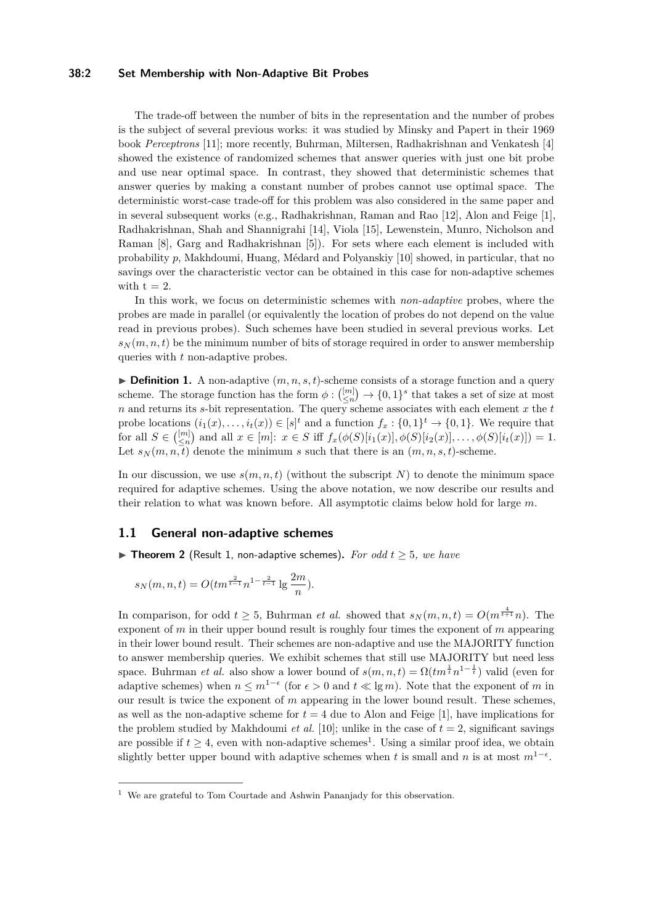### **38:2 Set Membership with Non-Adaptive Bit Probes**

The trade-off between the number of bits in the representation and the number of probes is the subject of several previous works: it was studied by Minsky and Papert in their 1969 book *Perceptrons* [\[11\]](#page-12-3); more recently, Buhrman, Miltersen, Radhakrishnan and Venkatesh [\[4\]](#page-12-0) showed the existence of randomized schemes that answer queries with just one bit probe and use near optimal space. In contrast, they showed that deterministic schemes that answer queries by making a constant number of probes cannot use optimal space. The deterministic worst-case trade-off for this problem was also considered in the same paper and in several subsequent works (e.g., Radhakrishnan, Raman and Rao [\[12\]](#page-12-4), Alon and Feige [\[1\]](#page-12-1), Radhakrishnan, Shah and Shannigrahi [\[14\]](#page-12-5), Viola [\[15\]](#page-12-6), Lewenstein, Munro, Nicholson and Raman [\[8\]](#page-12-7), Garg and Radhakrishnan [\[5\]](#page-12-8)). For sets where each element is included with probability *p*, Makhdoumi, Huang, Médard and Polyanskiy [\[10\]](#page-12-9) showed, in particular, that no savings over the characteristic vector can be obtained in this case for non-adaptive schemes with  $t = 2$ .

In this work, we focus on deterministic schemes with *non-adaptive* probes, where the probes are made in parallel (or equivalently the location of probes do not depend on the value read in previous probes). Such schemes have been studied in several previous works. Let  $s_N(m, n, t)$  be the minimum number of bits of storage required in order to answer membership queries with *t* non-adaptive probes.

 $\triangleright$  **Definition 1.** A non-adaptive  $(m, n, s, t)$ -scheme consists of a storage function and a query scheme. The storage function has the form  $\phi : \binom{[m]}{\leq n} \to \{0,1\}^s$  that takes a set of size at most *n* and returns its *s*-bit representation. The query scheme associates with each element *x* the *t* probe locations  $(i_1(x), \ldots, i_t(x)) \in [s]^t$  and a function  $f_x: \{0, 1\}^t \to \{0, 1\}$ . We require that for all  $S \in \binom{[m]}{\leq n}$  and all  $x \in [m]$ :  $x \in S$  iff  $f_x(\phi(S)[i_1(x)], \phi(S)[i_2(x)], \ldots, \phi(S)[i_t(x)]) = 1$ . Let  $s_N(m, n, t)$  denote the minimum *s* such that there is an  $(m, n, s, t)$ -scheme.

In our discussion, we use  $s(m, n, t)$  (without the subscript N) to denote the minimum space required for adaptive schemes. Using the above notation, we now describe our results and their relation to what was known before. All asymptotic claims below hold for large *m*.

## **1.1 General non-adaptive schemes**

<span id="page-1-1"></span>▶ **Theorem 2** (Result 1, non-adaptive schemes). For odd  $t \geq 5$ , we have

$$
s_N(m, n, t) = O(tm^{\frac{2}{t-1}}n^{1-\frac{2}{t-1}}\lg \frac{2m}{n}).
$$

In comparison, for odd  $t \geq 5$ , Buhrman *et al.* showed that  $s_N(m, n, t) = O(m^{\frac{4}{t+1}}n)$ . The exponent of *m* in their upper bound result is roughly four times the exponent of *m* appearing in their lower bound result. Their schemes are non-adaptive and use the MAJORITY function to answer membership queries. We exhibit schemes that still use MAJORITY but need less space. Buhrman *et al.* also show a lower bound of  $s(m, n, t) = \Omega(t m^{\frac{1}{t}} n^{1-\frac{1}{t}})$  valid (even for adaptive schemes) when  $n \leq m^{1-\epsilon}$  (for  $\epsilon > 0$  and  $t \ll \lg m$ ). Note that the exponent of *m* in our result is twice the exponent of *m* appearing in the lower bound result. These schemes, as well as the non-adaptive scheme for  $t = 4$  due to Alon and Feige [\[1\]](#page-12-1), have implications for the problem studied by Makhdoumi *et al.* [\[10\]](#page-12-9); unlike in the case of  $t = 2$ , significant savings are possible if  $t \geq 4$ , even with non-adaptive schemes<sup>[1](#page-1-0)</sup>. Using a similar proof idea, we obtain slightly better upper bound with adaptive schemes when *t* is small and *n* is at most  $m^{1-\epsilon}$ .

<span id="page-1-0"></span><sup>&</sup>lt;sup>1</sup> We are grateful to Tom Courtade and Ashwin Pananjady for this observation.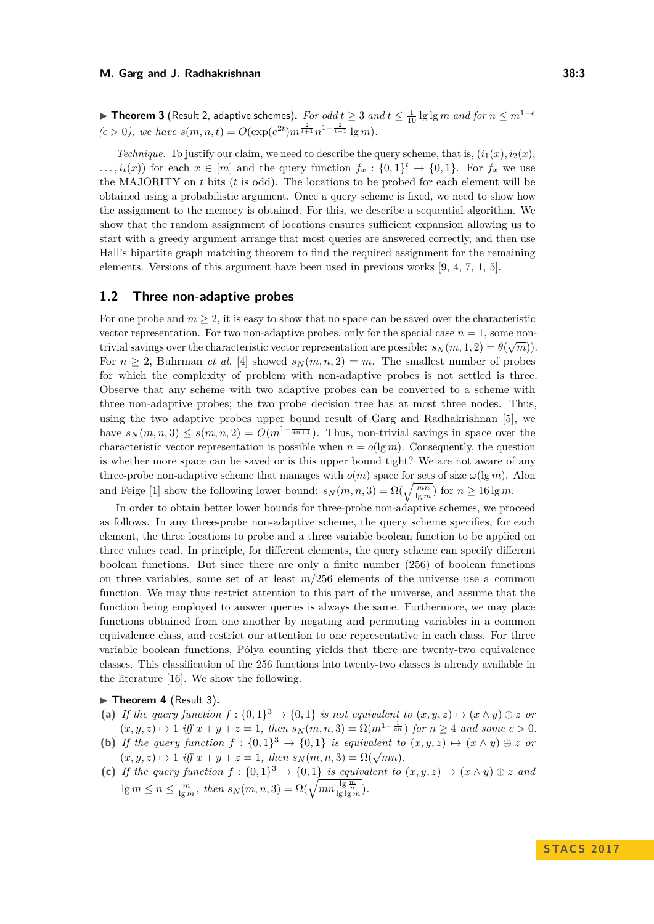<span id="page-2-1"></span>▶ Theorem 3 (Result 2, adaptive schemes). *For odd*  $t ≥ 3$  *and*  $t ≤ \frac{1}{10} \lg \lg m$  *and for*  $n ≤ m^{1-6}$  $(\epsilon > 0)$ , we have  $s(m, n, t) = O(\exp(e^{2t})m^{\frac{2}{t+1}}n^{1-\frac{2}{t+1}}\lg m)$ .

*Technique.* To justify our claim, we need to describe the query scheme, that is,  $(i_1(x), i_2(x),$  $\dots, i_t(x)$  for each  $x \in [m]$  and the query function  $f_x: \{0,1\}^t \to \{0,1\}$ . For  $f_x$  we use the MAJORITY on *t* bits (*t* is odd). The locations to be probed for each element will be obtained using a probabilistic argument. Once a query scheme is fixed, we need to show how the assignment to the memory is obtained. For this, we describe a sequential algorithm. We show that the random assignment of locations ensures sufficient expansion allowing us to start with a greedy argument arrange that most queries are answered correctly, and then use Hall's bipartite graph matching theorem to find the required assignment for the remaining elements. Versions of this argument have been used in previous works [\[9,](#page-12-10) [4,](#page-12-0) [7,](#page-12-11) [1,](#page-12-1) [5\]](#page-12-8).

### **1.2 Three non-adaptive probes**

For one probe and  $m \geq 2$ , it is easy to show that no space can be saved over the characteristic vector representation. For two non-adaptive probes, only for the special case  $n = 1$ , some nontrivial savings over the characteristic vector representation are possible:  $s_N(m, 1, 2) = \theta(\sqrt{m})$ . For  $n \geq 2$ , Buhrman *et al.* [\[4\]](#page-12-0) showed  $s_N(m, n, 2) = m$ . The smallest number of probes for which the complexity of problem with non-adaptive probes is not settled is three. Observe that any scheme with two adaptive probes can be converted to a scheme with three non-adaptive probes; the two probe decision tree has at most three nodes. Thus, using the two adaptive probes upper bound result of Garg and Radhakrishnan [\[5\]](#page-12-8), we have  $s_N(m, n, 3) \leq s(m, n, 2) = O(m^{1-\frac{1}{4n+1}})$ . Thus, non-trivial savings in space over the characteristic vector representation is possible when  $n = o(\lg m)$ . Consequently, the question is whether more space can be saved or is this upper bound tight? We are not aware of any three-probe non-adaptive scheme that manages with  $o(m)$  space for sets of size  $\omega(\lg m)$ . Alon and Feige [\[1\]](#page-12-1) show the following lower bound:  $s_N(m, n, 3) = \Omega(\sqrt{\frac{mn}{\lg m}})$  for  $n \ge 16 \lg m$ .

In order to obtain better lower bounds for three-probe non-adaptive schemes, we proceed as follows. In any three-probe non-adaptive scheme, the query scheme specifies, for each element, the three locations to probe and a three variable boolean function to be applied on three values read. In principle, for different elements, the query scheme can specify different boolean functions. But since there are only a finite number (256) of boolean functions on three variables, some set of at least *m/*256 elements of the universe use a common function. We may thus restrict attention to this part of the universe, and assume that the function being employed to answer queries is always the same. Furthermore, we may place functions obtained from one another by negating and permuting variables in a common equivalence class, and restrict our attention to one representative in each class. For three variable boolean functions, Pólya counting yields that there are twenty-two equivalence classes. This classification of the 256 functions into twenty-two classes is already available in the literature [\[16\]](#page-12-12). We show the following.

### <span id="page-2-0"></span>▶ Theorem 4 (Result 3).

- (a) If the query function  $f: \{0,1\}^3 \to \{0,1\}$  is not equivalent to  $(x, y, z) \mapsto (x \wedge y) \oplus z$  or  $(x, y, z) \mapsto 1$  *iff*  $x + y + z = 1$ , then  $s_N(m, n, 3) = \Omega(m^{1 - \frac{1}{cn}})$  for  $n \ge 4$  *and some*  $c > 0$ *.*
- **(b)** If the query function  $f : \{0,1\}^3 \to \{0,1\}$  is equivalent to  $(x, y, z) \mapsto (x \wedge y) \oplus z$  or  $(x, y, z) \mapsto 1$  *iff*  $x + y + z = 1$ *, then*  $s_N(m, n, 3) = \Omega(\sqrt{mn})$ .
- (c) If the query function  $f : \{0,1\}^3 \to \{0,1\}$  is equivalent to  $(x, y, z) \mapsto (x \wedge y) \oplus z$  and  $\log m \le n \le \frac{m}{\lg m}, \text{ then } s_N(m,n,3) = \Omega(\sqrt{mn \frac{\lg \frac{m}{n}}{\lg \lg m}}).$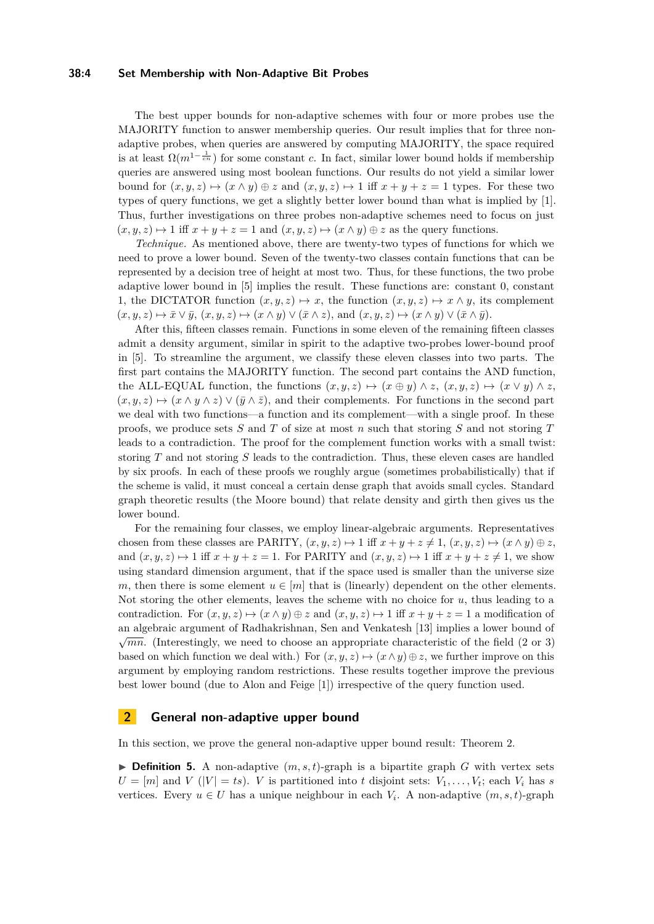### **38:4 Set Membership with Non-Adaptive Bit Probes**

The best upper bounds for non-adaptive schemes with four or more probes use the MAJORITY function to answer membership queries. Our result implies that for three nonadaptive probes, when queries are answered by computing MAJORITY, the space required is at least  $\Omega(m^{1-\frac{1}{cn}})$  for some constant *c*. In fact, similar lower bound holds if membership queries are answered using most boolean functions. Our results do not yield a similar lower bound for  $(x, y, z) \mapsto (x \wedge y) \oplus z$  and  $(x, y, z) \mapsto 1$  iff  $x + y + z = 1$  types. For these two types of query functions, we get a slightly better lower bound than what is implied by [\[1\]](#page-12-1). Thus, further investigations on three probes non-adaptive schemes need to focus on just  $(x, y, z) \mapsto 1$  iff  $x + y + z = 1$  and  $(x, y, z) \mapsto (x \wedge y) \oplus z$  as the query functions.

*Technique.* As mentioned above, there are twenty-two types of functions for which we need to prove a lower bound. Seven of the twenty-two classes contain functions that can be represented by a decision tree of height at most two. Thus, for these functions, the two probe adaptive lower bound in [\[5\]](#page-12-8) implies the result. These functions are: constant 0, constant 1, the DICTATOR function  $(x, y, z) \mapsto x$ , the function  $(x, y, z) \mapsto x \wedge y$ , its complement  $(x, y, z) \mapsto \bar{x} \vee \bar{y}, (x, y, z) \mapsto (x \wedge y) \vee (\bar{x} \wedge z), \text{ and } (x, y, z) \mapsto (x \wedge y) \vee (\bar{x} \wedge \bar{y}).$ 

After this, fifteen classes remain. Functions in some eleven of the remaining fifteen classes admit a density argument, similar in spirit to the adaptive two-probes lower-bound proof in [\[5\]](#page-12-8). To streamline the argument, we classify these eleven classes into two parts. The first part contains the MAJORITY function. The second part contains the AND function, the ALL-EQUAL function, the functions  $(x, y, z) \mapsto (x \oplus y) \wedge z$ ,  $(x, y, z) \mapsto (x \vee y) \wedge z$ ,  $(x, y, z) \mapsto (x \wedge y \wedge z) \vee (\bar{y} \wedge \bar{z})$ , and their complements. For functions in the second part we deal with two functions—a function and its complement—with a single proof. In these proofs, we produce sets *S* and *T* of size at most *n* such that storing *S* and not storing *T* leads to a contradiction. The proof for the complement function works with a small twist: storing *T* and not storing *S* leads to the contradiction. Thus, these eleven cases are handled by six proofs. In each of these proofs we roughly argue (sometimes probabilistically) that if the scheme is valid, it must conceal a certain dense graph that avoids small cycles. Standard graph theoretic results (the Moore bound) that relate density and girth then gives us the lower bound.

For the remaining four classes, we employ linear-algebraic arguments. Representatives chosen from these classes are PARITY,  $(x, y, z) \mapsto 1$  iff  $x + y + z \neq 1$ ,  $(x, y, z) \mapsto (x \wedge y) \oplus z$ , and  $(x, y, z) \mapsto 1$  iff  $x + y + z = 1$ . For PARITY and  $(x, y, z) \mapsto 1$  iff  $x + y + z \neq 1$ , we show using standard dimension argument, that if the space used is smaller than the universe size *m*, then there is some element  $u \in [m]$  that is (linearly) dependent on the other elements. Not storing the other elements, leaves the scheme with no choice for *u*, thus leading to a contradiction. For  $(x, y, z) \mapsto (x \wedge y) \oplus z$  and  $(x, y, z) \mapsto 1$  iff  $x + y + z = 1$  a modification of an algebraic argument of Radhakrishnan, Sen and Venkatesh [\[13\]](#page-12-13) implies a lower bound of √  $\sqrt{mn}$ . (Interestingly, we need to choose an appropriate characteristic of the field (2 or 3) based on which function we deal with.) For  $(x, y, z) \mapsto (x \wedge y) \oplus z$ , we further improve on this argument by employing random restrictions. These results together improve the previous best lower bound (due to Alon and Feige [\[1\]](#page-12-1)) irrespective of the query function used.

## **2 General non-adaptive upper bound**

In this section, we prove the general non-adaptive upper bound result: Theorem [2.](#page-1-1)

 $\triangleright$  **Definition 5.** A non-adaptive  $(m, s, t)$ -graph is a bipartite graph *G* with vertex sets  $U = [m]$  and *V* ( $|V| = ts$ ). *V* is partitioned into *t* disjoint sets:  $V_1, \ldots, V_t$ ; each  $V_i$  has *s* vertices. Every  $u \in U$  has a unique neighbour in each  $V_i$ . A non-adaptive  $(m, s, t)$ -graph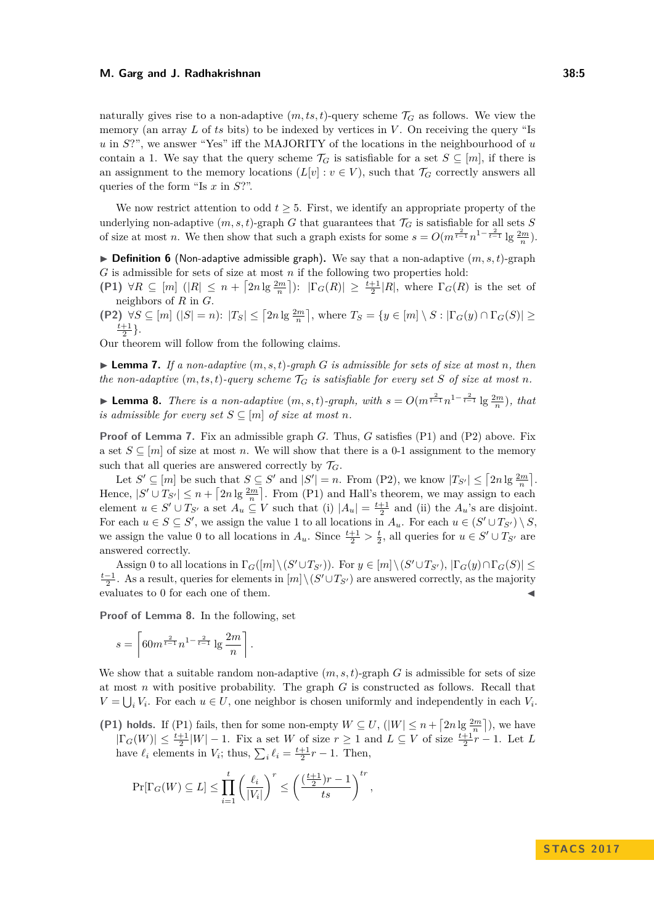#### **M. Garg and J. Radhakrishnan 38:5**

naturally gives rise to a non-adaptive  $(m, ts, t)$ -query scheme  $\mathcal{T}_G$  as follows. We view the memory (an array L of ts bits) to be indexed by vertices in V. On receiving the query "Is *u* in *S*?", we answer "Yes" iff the MAJORITY of the locations in the neighbourhood of *u* contain a 1. We say that the query scheme  $\mathcal{T}_G$  is satisfiable for a set  $S \subseteq [m]$ , if there is an assignment to the memory locations  $(L[v] : v \in V)$ , such that  $\mathcal{T}_G$  correctly answers all queries of the form "Is *x* in *S*?".

We now restrict attention to odd  $t \geq 5$ . First, we identify an appropriate property of the underlying non-adaptive  $(m, s, t)$ -graph *G* that guarantees that  $\mathcal{T}_G$  is satisfiable for all sets *S* of size at most *n*. We then show that such a graph exists for some  $s = O(m^{\frac{2}{t-1}}n^{1-\frac{2}{t-1}}\lg \frac{2m}{n})$ .

 $\triangleright$  **Definition 6** (Non-adaptive admissible graph). We say that a non-adaptive  $(m, s, t)$ -graph *G* is admissible for sets of size at most *n* if the following two properties hold:

**(P1)**  $\forall R \subseteq [m]$   $(|R| \leq n + \lceil 2n \lg \frac{2m}{n} \rceil$ :  $|\Gamma_G(R)| \geq \frac{t+1}{2}|R|$ , where  $\Gamma_G(R)$  is the set of neighbors of *R* in *G*.

**(P2)**  $\forall S \subseteq [m]$   $(|S| = n)$ :  $|T_S| \leq \left[2n \lg \frac{2m}{n}\right]$ , where  $T_S = \{y \in [m] \setminus S : |\Gamma_G(y) \cap \Gamma_G(S)| \geq \frac{2m}{n}\}$  $\frac{t+1}{2}$ .

Our theorem will follow from the following claims.

<span id="page-4-0"></span> $\blacktriangleright$  **Lemma 7.** If a non-adaptive  $(m, s, t)$ -graph *G* is admissible for sets of size at most *n*, then *the non-adaptive*  $(m, ts, t)$ *-query scheme*  $T_G$  *is satisfiable for every set S of size at most n.* 

<span id="page-4-1"></span>► **Lemma 8.** *There is a non-adaptive*  $(m, s, t)$ -graph, with  $s = O(m^{\frac{2}{t-1}} n^{1-\frac{2}{t-1}} \lg \frac{2m}{n})$ , that *is admissible for every set*  $S \subseteq [m]$  *of size at most n.* 

**Proof of Lemma [7.](#page-4-0)** Fix an admissible graph *G*. Thus, *G* satisfies (P1) and (P2) above. Fix a set  $S \subseteq [m]$  of size at most *n*. We will show that there is a 0-1 assignment to the memory such that all queries are answered correctly by  $\mathcal{T}_G$ .

Let  $S' \subseteq [m]$  be such that  $S \subseteq S'$  and  $|S'| = n$ . From (P2), we know  $|T_{S'}| \leq [2n \lg \frac{2m}{n}]$ . Hence,  $|S' \cup T_{S'}| \leq n + \lceil 2n \lg \frac{2m}{n} \rceil$ . From (P1) and Hall's theorem, we may assign to each element  $u \in S' \cup T_{S'}$  a set  $A_u \subseteq V$  such that (i)  $|A_u| = \frac{t+1}{2}$  and (ii) the  $A_u$ 's are disjoint. For each  $u \in S \subseteq S'$ , we assign the value 1 to all locations in  $A_u$ . For each  $u \in (S' \cup T_{S'}) \setminus S$ , we assign the value 0 to all locations in  $A_u$ . Since  $\frac{t+1}{2} > \frac{t}{2}$ , all queries for  $u \in S' \cup T_{S'}$  are answered correctly.

Assign 0 to all locations in  $\Gamma_G([m]\setminus (S' \cup T_{S'}))$ . For  $y \in [m]\setminus (S' \cup T_{S'})$ ,  $|\Gamma_G(y) \cap \Gamma_G(S)| \le$  $\frac{t-1}{2}$ . As a result, queries for elements in  $[m] \setminus (S' \cup T_{S'})$  are answered correctly, as the majority evaluates to 0 for each one of them.

**Proof of Lemma [8.](#page-4-1)** In the following, set

$$
s = \left\lceil 60m^{\frac{2}{t-1}} n^{1-\frac{2}{t-1}} \lg \frac{2m}{n} \right\rceil.
$$

We show that a suitable random non-adaptive  $(m, s, t)$ -graph *G* is admissible for sets of size at most *n* with positive probability. The graph *G* is constructed as follows. Recall that  $V = \bigcup_i V_i$ . For each  $u \in U$ , one neighbor is chosen uniformly and independently in each  $V_i$ .

**(P1) holds.** If (P1) fails, then for some non-empty  $W \subseteq U$ ,  $(|W| \leq n + \lceil 2n \lg \frac{2m}{n} \rceil)$ , we have  $|\Gamma_G(W)| \leq \frac{t+1}{2}|W| - 1$ . Fix a set *W* of size  $r \geq 1$  and  $L \subseteq V$  of size  $\frac{t+1}{2}r - 1$ . Let *L* have  $\ell_i$  elements in  $V_i$ ; thus,  $\sum_i \ell_i = \frac{t+1}{2}r - 1$ . Then,

$$
\Pr[\Gamma_G(W) \subseteq L] \le \prod_{i=1}^t \left(\frac{\ell_i}{|V_i|}\right)^r \le \left(\frac{\left(\frac{t+1}{2}\right)r-1}{ts}\right)^{tr},
$$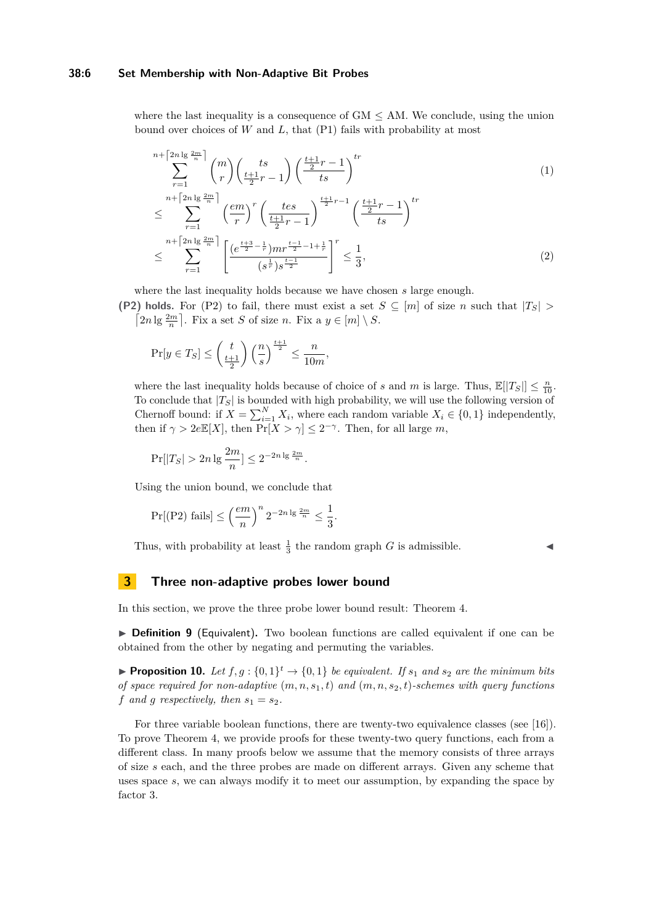### **38:6 Set Membership with Non-Adaptive Bit Probes**

where the last inequality is a consequence of  $GM < AM$ . We conclude, using the union bound over choices of *W* and *L*, that (P1) fails with probability at most

$$
n + \left[\frac{2n\lg\frac{2m}{n}}{r}\right] \binom{m}{r} \left(\frac{ts}{\frac{t+1}{2}r-1}\right) \left(\frac{\frac{t+1}{2}r-1}{ts}\right)^{tr}
$$
\n
$$
\leq \sum_{r=1}^{n+\left[\frac{2n\lg\frac{2m}{n}}{r}\right]} \left(\frac{em}{r}\right)^r \left(\frac{tes}{\frac{t+1}{2}r-1}\right)^{\frac{t+1}{2}r-1} \left(\frac{\frac{t+1}{2}r-1}{ts}\right)^{tr}
$$
\n
$$
\leq \sum_{r=1}^{n+\left[\frac{2n\lg\frac{2m}{n}}{r}\right]} \left[\frac{\left(e^{\frac{t+3}{2}-\frac{1}{r}}\right)mr^{\frac{t-1}{2}-1+\frac{1}{r}}}{\left(s^{\frac{1}{r}}\right)s^{\frac{t-1}{2}}}\right]^r \leq \frac{1}{3},\tag{2}
$$

where the last inequality holds because we have chosen *s* large enough.

**(P2) holds.** For (P2) to fail, there must exist a set  $S \subseteq [m]$  of size *n* such that  $|T_S|$  $\lceil 2n \lg \frac{2m}{n} \rceil$ . Fix a set *S* of size *n*. Fix a  $y \in [m] \setminus S$ .

$$
\Pr[y \in T_S] \le \left(\frac{t}{\frac{t+1}{2}}\right) \left(\frac{n}{s}\right)^{\frac{t+1}{2}} \le \frac{n}{10m},
$$

where the last inequality holds because of choice of *s* and *m* is large. Thus,  $\mathbb{E}[|T_S|] \leq \frac{n}{10}$ . To conclude that |*TS*| is bounded with high probability, we will use the following version of Chernoff bound: if  $X = \sum_{i=1}^{N} X_i$ , where each random variable  $X_i \in \{0, 1\}$  independently, then if  $\gamma > 2e\mathbb{E}[X]$ , then  $\Pr[X > \gamma] \leq 2^{-\gamma}$ . Then, for all large *m*,

$$
\Pr[|T_S| > 2n \lg \frac{2m}{n}] \le 2^{-2n \lg \frac{2m}{n}}.
$$

Using the union bound, we conclude that

$$
\Pr[(P2) \text{ fails}] \le \left(\frac{em}{n}\right)^n 2^{-2n \lg \frac{2m}{n}} \le \frac{1}{3}.
$$

Thus, with probability at least  $\frac{1}{3}$  the random graph *G* is admissible.

# **3 Three non-adaptive probes lower bound**

In this section, we prove the three probe lower bound result: Theorem [4.](#page-2-0)

▶ **Definition 9** (Equivalent). Two boolean functions are called equivalent if one can be obtained from the other by negating and permuting the variables.

**• Proposition 10.** Let  $f, g: \{0, 1\}^t \to \{0, 1\}$  be equivalent. If  $s_1$  and  $s_2$  are the minimum bits *of space required for non-adaptive* (*m, n, s*1*, t*) *and* (*m, n, s*2*, t*)*-schemes with query functions f* and *g* respectively, then  $s_1 = s_2$ .

For three variable boolean functions, there are twenty-two equivalence classes (see [\[16\]](#page-12-12)). To prove Theorem [4,](#page-2-0) we provide proofs for these twenty-two query functions, each from a different class. In many proofs below we assume that the memory consists of three arrays of size *s* each, and the three probes are made on different arrays. Given any scheme that uses space *s*, we can always modify it to meet our assumption, by expanding the space by factor 3.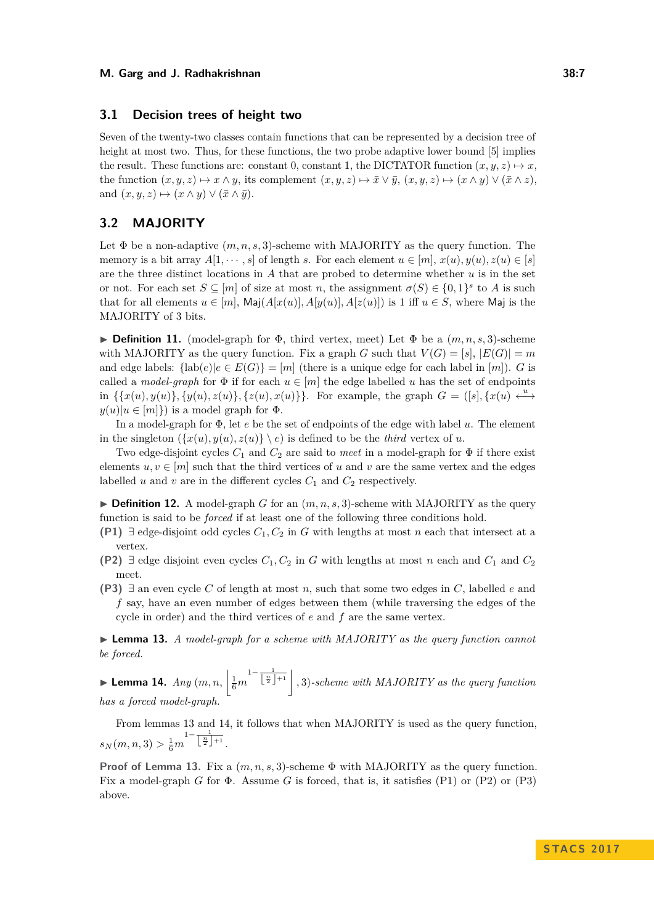## **3.1 Decision trees of height two**

Seven of the twenty-two classes contain functions that can be represented by a decision tree of height at most two. Thus, for these functions, the two probe adaptive lower bound [\[5\]](#page-12-8) implies the result. These functions are: constant 0, constant 1, the DICTATOR function  $(x, y, z) \mapsto x$ , the function  $(x, y, z) \mapsto x \wedge y$ , its complement  $(x, y, z) \mapsto \bar{x} \vee \bar{y}$ ,  $(x, y, z) \mapsto (x \wedge y) \vee (\bar{x} \wedge z)$ . and  $(x, y, z) \mapsto (x \wedge y) \vee (\bar{x} \wedge \bar{y}).$ 

## **3.2 MAJORITY**

Let  $\Phi$  be a non-adaptive  $(m, n, s, 3)$ -scheme with MAJORITY as the query function. The memory is a bit array  $A[1, \dots, s]$  of length *s*. For each element  $u \in [m], x(u), y(u), z(u) \in [s]$ are the three distinct locations in *A* that are probed to determine whether *u* is in the set or not. For each set  $S \subseteq [m]$  of size at most *n*, the assignment  $\sigma(S) \in \{0,1\}^s$  to *A* is such that for all elements  $u \in [m]$ ,  $\text{Maj}(A[x(u)], A[y(u)], A[z(u)])$  is 1 iff  $u \in S$ , where Maj is the MAJORITY of 3 bits.

**Definition 11.** (model-graph for  $\Phi$ , third vertex, meet) Let  $\Phi$  be a  $(m, n, s, 3)$ -scheme with MAJORITY as the query function. Fix a graph *G* such that  $V(G) = [s], |E(G)| = m$ and edge labels:  $\{\text{lab}(e)|e \in E(G)\} = [m]$  (there is a unique edge for each label in [*m*]). *G* is called a *model-graph* for  $\Phi$  if for each  $u \in [m]$  the edge labelled *u* has the set of endpoints in  $\{\{x(u), y(u)\}, \{y(u), z(u)\}, \{z(u), x(u)\}\}\$ . For example, the graph  $G = ([s], \{x(u) \stackrel{u}{\longleftrightarrow} \}$  $y(u) | u \in [m]$  is a model graph for  $\Phi$ .

In a model-graph for Φ, let *e* be the set of endpoints of the edge with label *u*. The element in the singleton  $({x(u), y(u), z(u)} \mid e)$  is defined to be the *third* vertex of *u*.

Two edge-disjoint cycles *C*<sup>1</sup> and *C*<sup>2</sup> are said to *meet* in a model-graph for Φ if there exist elements  $u, v \in [m]$  such that the third vertices of *u* and *v* are the same vertex and the edges labelled  $u$  and  $v$  are in the different cycles  $C_1$  and  $C_2$  respectively.

**Definition 12.** A model-graph *G* for an  $(m, n, s, 3)$ -scheme with MAJORITY as the query function is said to be *forced* if at least one of the following three conditions hold.

- **(P1)** ∃ edge-disjoint odd cycles *C*1*, C*<sup>2</sup> in *G* with lengths at most *n* each that intersect at a vertex.
- **(P2)** ∃ edge disjoint even cycles  $C_1$ ,  $C_2$  in *G* with lengths at most *n* each and  $C_1$  and  $C_2$ meet.
- **(P3)** ∃ an even cycle *C* of length at most *n*, such that some two edges in *C*, labelled *e* and *f* say, have an even number of edges between them (while traversing the edges of the cycle in order) and the third vertices of *e* and *f* are the same vertex.

<span id="page-6-0"></span>I **Lemma 13.** *A model-graph for a scheme with MAJORITY as the query function cannot be forced.*

<span id="page-6-1"></span> $\blacktriangleright$  Lemma 14.  $\mathit{Any}\ (m,n,\left|\frac{1}{6}m\right.$  $\frac{1-\frac{1}{\left\lfloor\frac{n}{2}\right\rfloor+1}}$  , 3)-scheme with MAJORITY as the query function *has a forced model-graph.*

From lemmas [13](#page-6-0) and [14,](#page-6-1) it follows that when MAJORITY is used as the query function,  $s_N(m, n, 3) > \frac{1}{6}m$  $1-\frac{1}{\left\lfloor \frac{n}{2} \right\rfloor+1}$ .

**Proof of Lemma [13.](#page-6-0)** Fix a (*m, n, s,* 3)-scheme Φ with MAJORITY as the query function. Fix a model-graph *G* for Φ. Assume *G* is forced, that is, it satisfies (P1) or (P2) or (P3) above.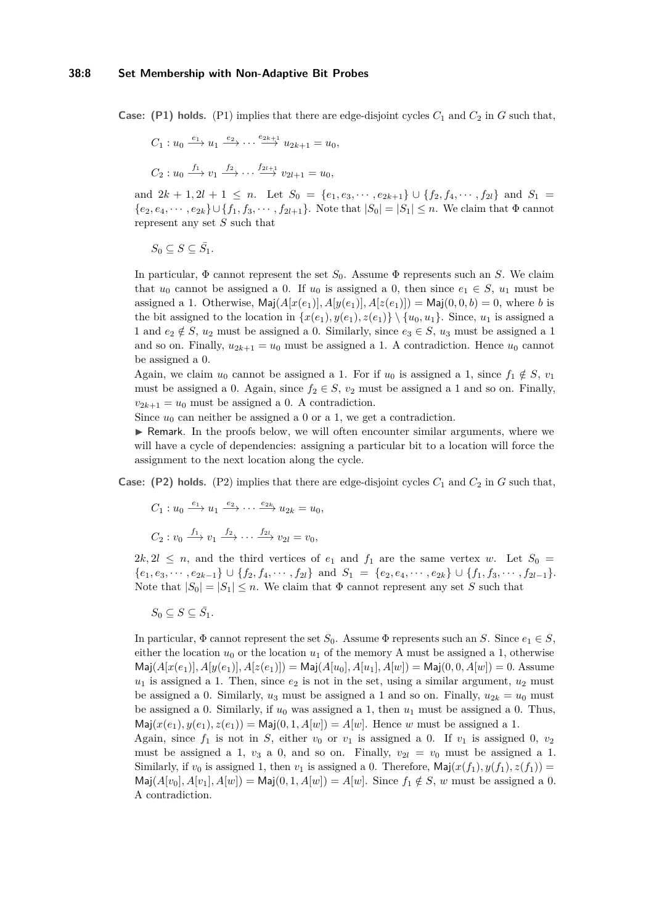### **38:8 Set Membership with Non-Adaptive Bit Probes**

**Case:** (P1) holds. (P1) implies that there are edge-disjoint cycles  $C_1$  and  $C_2$  in *G* such that,

$$
C_1: u_0 \xrightarrow{e_1} u_1 \xrightarrow{e_2} \cdots \xrightarrow{e_{2k+1}} u_{2k+1} = u_0,
$$
  

$$
C_2: u_0 \xrightarrow{f_1} v_1 \xrightarrow{f_2} \cdots \xrightarrow{f_{2l+1}} v_{2l+1} = u_0,
$$

and  $2k + 1, 2l + 1 \leq n$ . Let  $S_0 = \{e_1, e_3, \dots, e_{2k+1}\} \cup \{f_2, f_4, \dots, f_{2l}\}$  and  $S_1 =$  ${e_2, e_4, \dots, e_{2k}}$  ∪ { $f_1, f_3, \dots, f_{2l+1}$ }. Note that  $|S_0| = |S_1| ≤ n$ . We claim that  $Φ$  cannot represent any set *S* such that

 $S_0 \subseteq S \subseteq \overline{S_1}$ .

In particular, Φ cannot represent the set *S*0. Assume Φ represents such an *S*. We claim that  $u_0$  cannot be assigned a 0. If  $u_0$  is assigned a 0, then since  $e_1 \in S$ ,  $u_1$  must be assigned a 1. Otherwise,  $\text{Maj}(A[x(e_1)], A[y(e_1)], A[z(e_1)]) = \text{Maj}(0, 0, b) = 0$ , where *b* is the bit assigned to the location in  $\{x(e_1), y(e_1), z(e_1)\} \setminus \{u_0, u_1\}$ . Since,  $u_1$  is assigned a 1 and  $e_2 \notin S$ ,  $u_2$  must be assigned a 0. Similarly, since  $e_3 \in S$ ,  $u_3$  must be assigned a 1 and so on. Finally,  $u_{2k+1} = u_0$  must be assigned a 1. A contradiction. Hence  $u_0$  cannot be assigned a 0.

Again, we claim  $u_0$  cannot be assigned a 1. For if  $u_0$  is assigned a 1, since  $f_1 \notin S$ ,  $v_1$ must be assigned a 0. Again, since  $f_2 \in S$ ,  $v_2$  must be assigned a 1 and so on. Finally,  $v_{2k+1} = u_0$  must be assigned a 0. A contradiction.

Since  $u_0$  can neither be assigned a 0 or a 1, we get a contradiction.

 $\triangleright$  Remark. In the proofs below, we will often encounter similar arguments, where we will have a cycle of dependencies: assigning a particular bit to a location will force the assignment to the next location along the cycle.

**Case:** (P2) holds. (P2) implies that there are edge-disjoint cycles  $C_1$  and  $C_2$  in  $G$  such that,

$$
C_1: u_0 \xrightarrow{e_1} u_1 \xrightarrow{e_2} \cdots \xrightarrow{e_{2k}} u_{2k} = u_0,
$$
  

$$
C_2: v_0 \xrightarrow{f_1} v_1 \xrightarrow{f_2} \cdots \xrightarrow{f_{2l}} v_{2l} = v_0,
$$

 $2k, 2l \leq n$ , and the third vertices of  $e_1$  and  $f_1$  are the same vertex *w*. Let  $S_0 =$  $\{e_1, e_3, \cdots, e_{2k-1}\} \cup \{f_2, f_4, \cdots, f_{2l}\}$  and  $S_1 = \{e_2, e_4, \cdots, e_{2k}\} \cup \{f_1, f_3, \cdots, f_{2l-1}\}.$ Note that  $|S_0| = |S_1| \leq n$ . We claim that  $\Phi$  cannot represent any set *S* such that

 $S_0 \subseteq S \subseteq \overline{S_1}.$ 

In particular,  $\Phi$  cannot represent the set *S*<sub>0</sub>. Assume  $\Phi$  represents such an *S*. Since  $e_1 \in S$ , either the location  $u_0$  or the location  $u_1$  of the memory A must be assigned a 1, otherwise  $\textsf{Maj}(A[x(e_1)], A[y(e_1)], A[z(e_1)]) = \textsf{Maj}(A[u_0], A[u_1], A[w]) = \textsf{Maj}(0, 0, A[w]) = 0$ . Assume  $u_1$  is assigned a 1. Then, since  $e_2$  is not in the set, using a similar argument,  $u_2$  must be assigned a 0. Similarly,  $u_3$  must be assigned a 1 and so on. Finally,  $u_{2k} = u_0$  must be assigned a 0. Similarly, if *u*<sup>0</sup> was assigned a 1, then *u*<sup>1</sup> must be assigned a 0. Thus,  $\textsf{Maj}(x(e_1), y(e_1), z(e_1)) = \textsf{Maj}(0, 1, A[w]) = A[w]$ . Hence *w* must be assigned a 1. Again, since  $f_1$  is not in *S*, either  $v_0$  or  $v_1$  is assigned a 0. If  $v_1$  is assigned 0,  $v_2$ must be assigned a 1,  $v_3$  a 0, and so on. Finally,  $v_{2l} = v_0$  must be assigned a 1.

Similarly, if  $v_0$  is assigned 1, then  $v_1$  is assigned a 0. Therefore,  $\text{Maj}(x(f_1), y(f_1), z(f_1)) =$  $\text{Maj}(A[v_0], A[v_1], A[w]) = \text{Maj}(0, 1, A[w]) = A[w]$ . Since  $f_1 \notin S$ , *w* must be assigned a 0. A contradiction.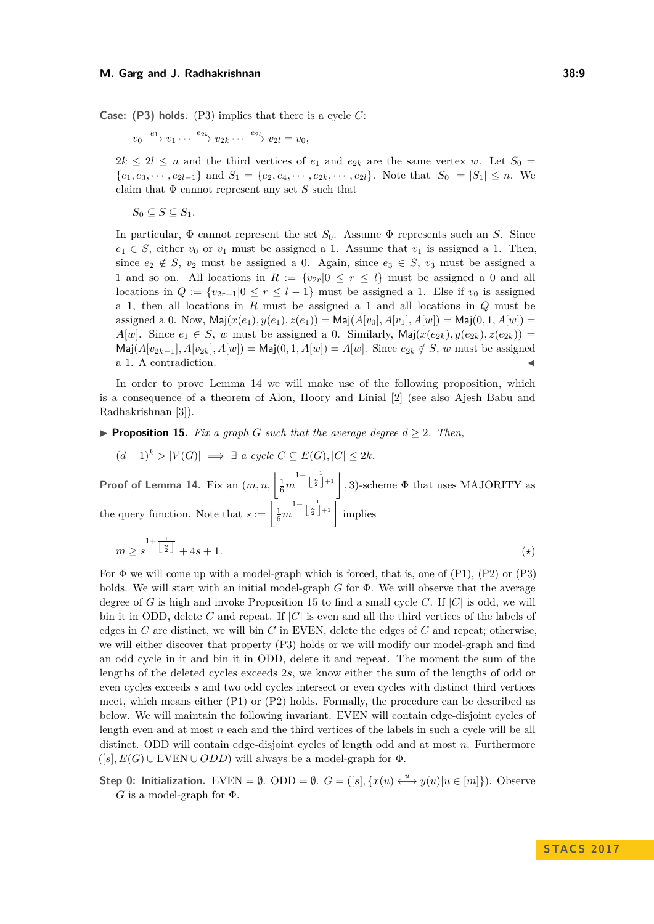#### **M. Garg and J. Radhakrishnan 38:9**

**Case: (P3) holds.** (P3) implies that there is a cycle *C*:

 $v_0 \xrightarrow{e_1} v_1 \cdots \xrightarrow{e_{2k}} v_{2k} \cdots \xrightarrow{e_{2l}} v_{2l} = v_0$ 

 $2k \leq 2l \leq n$  and the third vertices of  $e_1$  and  $e_{2k}$  are the same vertex *w*. Let  $S_0 =$  ${e_1, e_3, \dots, e_{2l-1}}$  and  $S_1 = {e_2, e_4, \dots, e_{2k}, \dots, e_{2l}}$ . Note that  $|S_0| = |S_1| \le n$ . We claim that  $\Phi$  cannot represent any set  $S$  such that

 $S_0 \subseteq S \subseteq \overline{S_1}.$ 

In particular, Φ cannot represent the set *S*0. Assume Φ represents such an *S*. Since  $e_1 \in S$ , either  $v_0$  or  $v_1$  must be assigned a 1. Assume that  $v_1$  is assigned a 1. Then, since  $e_2 \notin S$ ,  $v_2$  must be assigned a 0. Again, since  $e_3 \in S$ ,  $v_3$  must be assigned a 1 and so on. All locations in  $R := \{v_{2r} | 0 \le r \le l\}$  must be assigned a 0 and all locations in  $Q := \{v_{2r+1}|0 \leq r \leq l-1\}$  must be assigned a 1. Else if  $v_0$  is assigned a 1, then all locations in *R* must be assigned a 1 and all locations in *Q* must be assigned a 0. Now,  $\text{Maj}(x(e_1), y(e_1), z(e_1)) = \text{Maj}(A[v_0], A[v_1], A[w]) = \text{Maj}(0, 1, A[w]) =$ *A*[*w*]. Since  $e_1 \in S$ , *w* must be assigned a 0. Similarly, Maj( $x(e_{2k})$ ,  $y(e_{2k})$ ,  $z(e_{2k})$ ) =  $\textsf{Maj}(A[v_{2k-1}], A[v_{2k}], A[w]) = \textsf{Maj}(0, 1, A[w]) = A[w].$  Since  $e_{2k} \notin S$ , *w* must be assigned a 1. A contradiction.

In order to prove Lemma [14](#page-6-1) we will make use of the following proposition, which is a consequence of a theorem of Alon, Hoory and Linial [\[2\]](#page-12-14) (see also Ajesh Babu and Radhakrishnan [\[3\]](#page-12-15)).

<span id="page-8-0"></span>**• Proposition 15.** Fix a graph G such that the average degree  $d \geq 2$ . Then,

 $(d-1)^k > |V(G)| \implies \exists a cycle C \subseteq E(G), |C| \leq 2k.$ 

**Proof of Lemma [14.](#page-6-1)** Fix an  $(m, n, \left| \frac{1}{6}m \right|)$  $\frac{1-\frac{1}{\left\lfloor \frac{n}{2} \right\rfloor+1}}{n}$ , 3)-scheme  $\Phi$  that uses MAJORITY as the query function. Note that  $s := \frac{1}{6}m$  $\frac{1-\frac{1}{\left\lfloor \frac{n}{2} \right\rfloor+1}}{\left\lfloor \frac{n}{2} \right\rfloor}$  implies

$$
m \ge s^{\frac{1+\frac{1}{\left\lfloor \frac{n}{2} \right\rfloor}}{2}} + 4s + 1. \tag{(*)}
$$

For  $\Phi$  we will come up with a model-graph which is forced, that is, one of  $(P1)$ ,  $(P2)$  or  $(P3)$ holds. We will start with an initial model-graph *G* for Φ. We will observe that the average degree of *G* is high and invoke Proposition [15](#page-8-0) to find a small cycle *C*. If  $|C|$  is odd, we will bin it in ODD, delete *C* and repeat. If |*C*| is even and all the third vertices of the labels of edges in *C* are distinct, we will bin *C* in EVEN, delete the edges of *C* and repeat; otherwise, we will either discover that property (P3) holds or we will modify our model-graph and find an odd cycle in it and bin it in ODD, delete it and repeat. The moment the sum of the lengths of the deleted cycles exceeds 2*s*, we know either the sum of the lengths of odd or even cycles exceeds *s* and two odd cycles intersect or even cycles with distinct third vertices meet, which means either (P1) or (P2) holds. Formally, the procedure can be described as below. We will maintain the following invariant. EVEN will contain edge-disjoint cycles of length even and at most *n* each and the third vertices of the labels in such a cycle will be all distinct. ODD will contain edge-disjoint cycles of length odd and at most *n*. Furthermore  $([s], E(G) \cup \text{EVEN} \cup ODD)$  will always be a model-graph for  $\Phi$ .

**Step 0: Initialization.** EVEN =  $\emptyset$ . ODD =  $\emptyset$ .  $G = ([s], \{x(u) \stackrel{u}{\longleftrightarrow} y(u) | u \in [m]\})$ . Observe *G* is a model-graph for  $\Phi$ .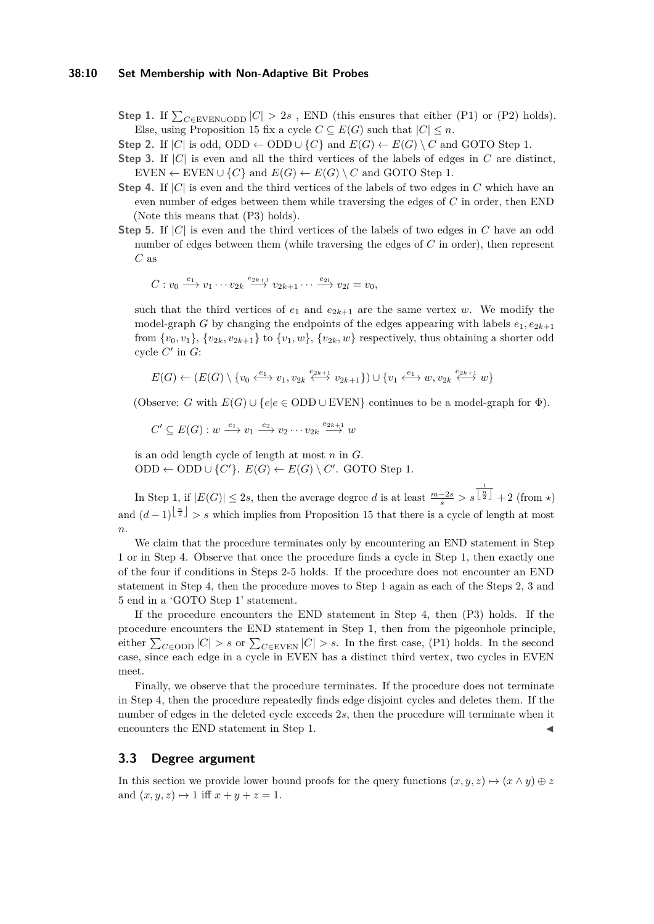### **38:10 Set Membership with Non-Adaptive Bit Probes**

- **Step 1.** If  $\sum_{C \in$ EVEN∪ODD  $|C| > 2s$ , END (this ensures that either (P1) or (P2) holds). Else, using Proposition [15](#page-8-0) fix a cycle  $C \subseteq E(G)$  such that  $|C| \leq n$ .
- **Step 2.** If  $|C|$  is odd, ODD ← ODD  $\cup$  {*C*} and  $E(G)$  ←  $E(G) \setminus C$  and GOTO Step 1.
- **Step 3.** If  $|C|$  is even and all the third vertices of the labels of edges in *C* are distinct, EVEN  $\leftarrow$  EVEN  $\cup$  {*C*} and *E*(*G*)  $\leftarrow$  *E*(*G*) \ *C* and GOTO Step 1.
- **Step 4.** If |*C*| is even and the third vertices of the labels of two edges in *C* which have an even number of edges between them while traversing the edges of *C* in order, then END (Note this means that (P3) holds).
- **Step 5.** If |*C*| is even and the third vertices of the labels of two edges in *C* have an odd number of edges between them (while traversing the edges of *C* in order), then represent *C* as

$$
C: v_0 \xrightarrow{e_1} v_1 \cdots v_{2k} \xrightarrow{e_{2k+1}} v_{2k+1} \cdots \xrightarrow{e_{2l}} v_{2l} = v_0,
$$

such that the third vertices of  $e_1$  and  $e_{2k+1}$  are the same vertex *w*. We modify the model-graph *G* by changing the endpoints of the edges appearing with labels  $e_1, e_{2k+1}$ from  $\{v_0, v_1\}$ ,  $\{v_{2k}, v_{2k+1}\}$  to  $\{v_1, w\}$ ,  $\{v_{2k}, w\}$  respectively, thus obtaining a shorter odd cycle  $C'$  in  $G$ :

$$
E(G) \leftarrow (E(G) \setminus \{v_0 \xleftarrow{e_1} v_1, v_{2k} \xleftarrow{e_{2k+1}} v_{2k+1}\}) \cup \{v_1 \xleftarrow{e_1} w, v_{2k} \xleftarrow{e_{2k+1}} w\}
$$

(Observe: *G* with  $E(G) \cup \{e | e \in ODD \cup EVEN\}$  continues to be a model-graph for  $\Phi$ ).

$$
C' \subseteq E(G) : w \xrightarrow{e_1} v_1 \xrightarrow{e_2} v_2 \cdots v_{2k} \xrightarrow{e_{2k+1}} w
$$

is an odd length cycle of length at most *n* in *G*. ODD ← ODD  $\cup$  {*C*<sup>'</sup>}.  $E(G)$  ←  $E(G) \setminus C'$ . GOTO Step 1.

In Step 1, if  $|E(G)| \leq 2s$ , then the average degree *d* is at least  $\frac{m-2s}{s} > s$  $\frac{1}{\lfloor \frac{n}{2} \rfloor} + 2$  (from  $\star$ ) and  $(d-1)^{\lfloor \frac{n}{2} \rfloor} > s$  which implies from Proposition [15](#page-8-0) that there is a cycle of length at most *n*.

We claim that the procedure terminates only by encountering an END statement in Step 1 or in Step 4. Observe that once the procedure finds a cycle in Step 1, then exactly one of the four if conditions in Steps 2-5 holds. If the procedure does not encounter an END statement in Step 4, then the procedure moves to Step 1 again as each of the Steps 2, 3 and 5 end in a 'GOTO Step 1' statement.

If the procedure encounters the END statement in Step 4, then (P3) holds. If the procedure encounters the END statement in Step 1, then from the pigeonhole principle, either  $\sum_{C \in \text{ODD}} |C| > s$  or  $\sum_{C \in \text{EVEN}} |C| > s$ . In the first case, (P1) holds. In the second case, since each edge in a cycle in EVEN has a distinct third vertex, two cycles in EVEN meet.

Finally, we observe that the procedure terminates. If the procedure does not terminate in Step 4, then the procedure repeatedly finds edge disjoint cycles and deletes them. If the number of edges in the deleted cycle exceeds 2*s*, then the procedure will terminate when it encounters the END statement in Step 1.

## **3.3 Degree argument**

In this section we provide lower bound proofs for the query functions  $(x, y, z) \mapsto (x \wedge y) \oplus z$ and  $(x, y, z) \mapsto 1$  iff  $x + y + z = 1$ .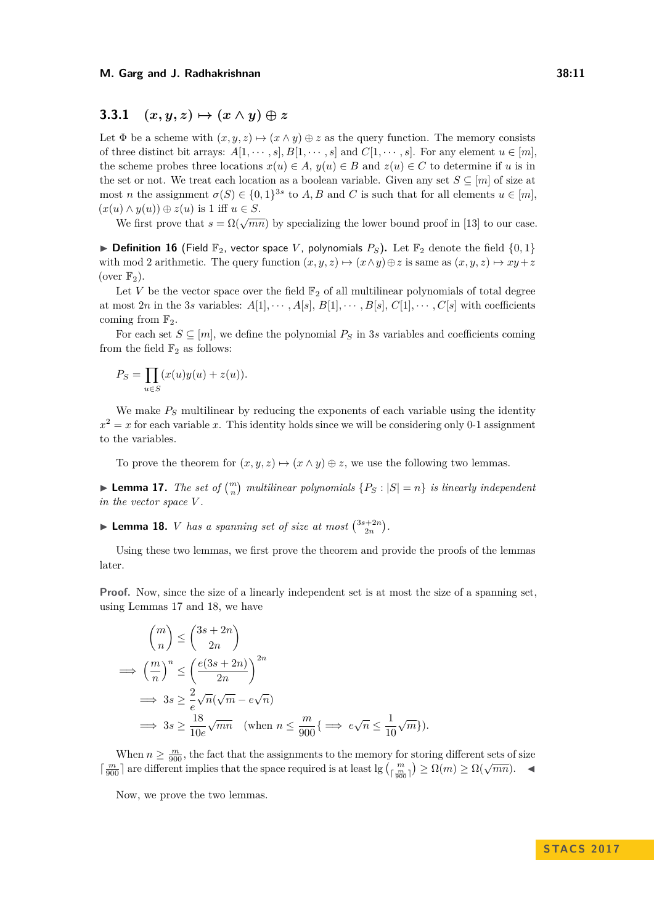## **3.3.1**  $(x, y, z) \mapsto (x \wedge y) \oplus z$

Let  $\Phi$  be a scheme with  $(x, y, z) \mapsto (x \wedge y) \oplus z$  as the query function. The memory consists of three distinct bit arrays:  $A[1, \dots, s], B[1, \dots, s]$  and  $C[1, \dots, s]$ . For any element  $u \in [m]$ , the scheme probes three locations  $x(u) \in A$ ,  $y(u) \in B$  and  $z(u) \in C$  to determine if *u* is in the set or not. We treat each location as a boolean variable. Given any set  $S \subseteq [m]$  of size at most *n* the assignment  $\sigma(S) \in \{0,1\}^{3s}$  to *A, B* and *C* is such that for all elements  $u \in [m]$ ,  $(x(u) \wedge y(u)) \oplus z(u)$  is 1 iff  $u \in S$ .

We first prove that  $s = \Omega(\sqrt{mn})$  by specializing the lower bound proof in [\[13\]](#page-12-13) to our case.

 $\triangleright$  **Definition 16** (Field  $\mathbb{F}_2$ , vector space *V*, polynomials  $P_S$ ). Let  $\mathbb{F}_2$  denote the field  $\{0,1\}$ with mod 2 arithmetic. The query function  $(x, y, z) \mapsto (x \wedge y) \oplus z$  is same as  $(x, y, z) \mapsto xy + z$ (over  $\mathbb{F}_2$ ).

Let  $V$  be the vector space over the field  $\mathbb{F}_2$  of all multilinear polynomials of total degree at most 2*n* in the 3*s* variables:  $A[1], \cdots, A[s], B[1], \cdots, B[s], C[1], \cdots, C[s]$  with coefficients coming from  $\mathbb{F}_2$ .

For each set  $S \subseteq [m]$ , we define the polynomial  $P_S$  in 3*s* variables and coefficients coming from the field  $\mathbb{F}_2$  as follows:

$$
P_S = \prod_{u \in S} (x(u)y(u) + z(u)).
$$

We make *P<sup>S</sup>* multilinear by reducing the exponents of each variable using the identity  $x^2 = x$  for each variable *x*. This identity holds since we will be considering only 0-1 assignment to the variables.

To prove the theorem for  $(x, y, z) \mapsto (x \wedge y) \oplus z$ , we use the following two lemmas.

<span id="page-10-0"></span>**Example 17.** The set of  $\binom{m}{n}$  multilinear polynomials  $\{P_S : |S| = n\}$  is linearly independent *in the vector space V .*

<span id="page-10-1"></span>**Example 18.** *V has a spanning set of size at most*  $\binom{3s+2n}{2n}$ .

Using these two lemmas, we first prove the theorem and provide the proofs of the lemmas later.

**Proof.** Now, since the size of a linearly independent set is at most the size of a spanning set, using Lemmas [17](#page-10-0) and [18,](#page-10-1) we have

$$
{m \choose n} \le {3s + 2n \choose 2n}
$$
  
\n
$$
\implies {m \choose n}^n \le {e(3s + 2n) \choose 2n}^{2n}
$$
  
\n
$$
\implies 3s \ge \frac{2}{e} \sqrt{n} (\sqrt{m} - e\sqrt{n})
$$
  
\n
$$
\implies 3s \ge \frac{18}{10e} \sqrt{mn} \quad (\text{when } n \le \frac{m}{900} \{ \implies e\sqrt{n} \le \frac{1}{10} \sqrt{m} \}).
$$

When  $n \geq \frac{m}{900}$ , the fact that the assignments to the memory for storing different sets of size when  $n \geq g_{00}$ , the fact that the assignments to the inempty for storing different sets of size  $\left[\frac{m}{g_{00}}\right]$  are different implies that the space required is at least  $\lg\left(\frac{m}{g_{00}}\right) \geq \Omega(m) \geq \Omega(\sqrt{mn})$ .

Now, we prove the two lemmas.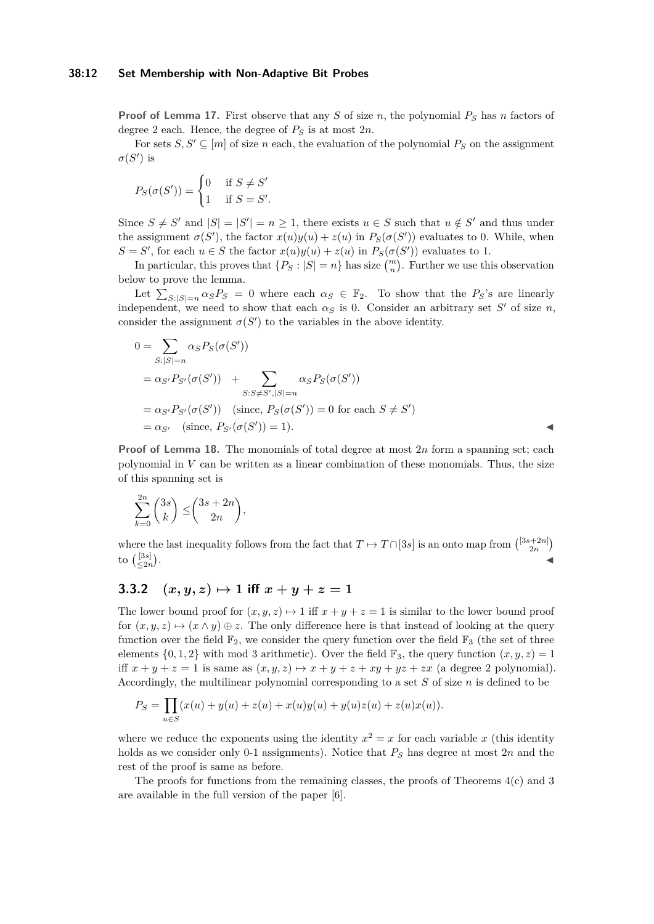**Proof of Lemma [17.](#page-10-0)** First observe that any *S* of size *n*, the polynomial *P<sup>S</sup>* has *n* factors of degree 2 each. Hence, the degree of  $P<sub>S</sub>$  is at most  $2n$ .

For sets  $S, S' \subseteq [m]$  of size *n* each, the evaluation of the polynomial  $P_S$  on the assignment  $\sigma(S')$  is

$$
P_S(\sigma(S')) = \begin{cases} 0 & \text{if } S \neq S' \\ 1 & \text{if } S = S'. \end{cases}
$$

Since  $S \neq S'$  and  $|S| = |S'| = n \geq 1$ , there exists  $u \in S$  such that  $u \notin S'$  and thus under the assignment  $\sigma(S')$ , the factor  $x(u)y(u) + z(u)$  in  $P_S(\sigma(S'))$  evaluates to 0. While, when  $S = S'$ , for each  $u \in S$  the factor  $x(u)y(u) + z(u)$  in  $P_S(\sigma(S'))$  evaluates to 1.

In particular, this proves that  $\{P_S : |S| = n\}$  has size  $\binom{m}{n}$ . Further we use this observation below to prove the lemma.

Let  $\sum_{S:|S|=n} \alpha_S P_S = 0$  where each  $\alpha_S \in \mathbb{F}_2$ . To show that the  $P_S$ 's are linearly independent, we need to show that each  $\alpha_S$  is 0. Consider an arbitrary set S' of size *n*, consider the assignment  $\sigma(S')$  to the variables in the above identity.

$$
0 = \sum_{S:|S|=n} \alpha_S P_S(\sigma(S'))
$$
  
=  $\alpha_{S'} P_{S'}(\sigma(S')) + \sum_{S: S \neq S',|S|=n} \alpha_S P_S(\sigma(S'))$   
=  $\alpha_{S'} P_{S'}(\sigma(S'))$  (since,  $P_S(\sigma(S')) = 0$  for each  $S \neq S')$   
=  $\alpha_{S'}$  (since,  $P_{S'}(\sigma(S')) = 1$ ).

**Proof of Lemma [18.](#page-10-1)** The monomials of total degree at most 2*n* form a spanning set; each polynomial in *V* can be written as a linear combination of these monomials. Thus, the size of this spanning set is

$$
\sum_{k=0}^{2n} \binom{3s}{k} \le \binom{3s+2n}{2n},
$$

where the last inequality follows from the fact that  $T \mapsto T \cap [3s]$  is an onto map from  $\binom{[3s+2n]}{2n}$ to  $\binom{[3s]}{\leq 2n}$ . January 1980, and the control of the control of the control of the control of the control of the control of

## **3.3.2**  $(x, y, z) \mapsto 1$  iff  $x + y + z = 1$

The lower bound proof for  $(x, y, z) \mapsto 1$  iff  $x + y + z = 1$  is similar to the lower bound proof for  $(x, y, z) \mapsto (x \wedge y) \oplus z$ . The only difference here is that instead of looking at the query function over the field  $\mathbb{F}_2$ , we consider the query function over the field  $\mathbb{F}_3$  (the set of three elements  $\{0, 1, 2\}$  with mod 3 arithmetic). Over the field  $\mathbb{F}_3$ , the query function  $(x, y, z) = 1$ iff  $x + y + z = 1$  is same as  $(x, y, z) \mapsto x + y + z + xy + yz + zx$  (a degree 2 polynomial). Accordingly, the multilinear polynomial corresponding to a set *S* of size *n* is defined to be

$$
P_S = \prod_{u \in S} (x(u) + y(u) + z(u) + x(u)y(u) + y(u)z(u) + z(u)x(u)).
$$

where we reduce the exponents using the identity  $x^2 = x$  for each variable x (this identity holds as we consider only 0-1 assignments). Notice that  $P<sub>S</sub>$  has degree at most 2*n* and the rest of the proof is same as before.

The proofs for functions from the remaining classes, the proofs of Theorems  $4(c)$  and [3](#page-2-1) are available in the full version of the paper [\[6\]](#page-12-16).